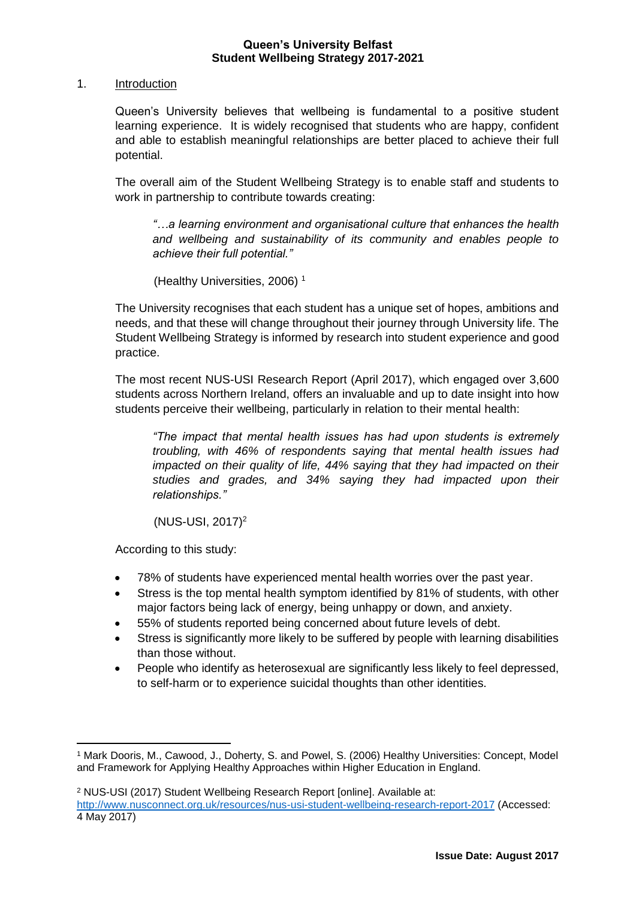# 1. Introduction

Queen's University believes that wellbeing is fundamental to a positive student learning experience. It is widely recognised that students who are happy, confident and able to establish meaningful relationships are better placed to achieve their full potential.

The overall aim of the Student Wellbeing Strategy is to enable staff and students to work in partnership to contribute towards creating:

*"…a learning environment and organisational culture that enhances the health and wellbeing and sustainability of its community and enables people to achieve their full potential."*

(Healthy Universities, 2006) <sup>1</sup>

The University recognises that each student has a unique set of hopes, ambitions and needs, and that these will change throughout their journey through University life. The Student Wellbeing Strategy is informed by research into student experience and good practice.

The most recent NUS-USI Research Report (April 2017), which engaged over 3,600 students across Northern Ireland, offers an invaluable and up to date insight into how students perceive their wellbeing, particularly in relation to their mental health:

*"The impact that mental health issues has had upon students is extremely troubling, with 46% of respondents saying that mental health issues had impacted on their quality of life, 44% saying that they had impacted on their studies and grades, and 34% saying they had impacted upon their relationships."* 

 $(NUS-USI, 2017)^2$ 

According to this study:

1

- 78% of students have experienced mental health worries over the past year.
- Stress is the top mental health symptom identified by 81% of students, with other major factors being lack of energy, being unhappy or down, and anxiety.
- 55% of students reported being concerned about future levels of debt.
- Stress is significantly more likely to be suffered by people with learning disabilities than those without.
- People who identify as heterosexual are significantly less likely to feel depressed, to self-harm or to experience suicidal thoughts than other identities.

<sup>2</sup> NUS-USI (2017) Student Wellbeing Research Report [online]. Available at:

<sup>1</sup> Mark Dooris, M., Cawood, J., Doherty, S. and Powel, S. (2006) Healthy Universities: Concept, Model and Framework for Applying Healthy Approaches within Higher Education in England.

<http://www.nusconnect.org.uk/resources/nus-usi-student-wellbeing-research-report-2017> (Accessed: 4 May 2017)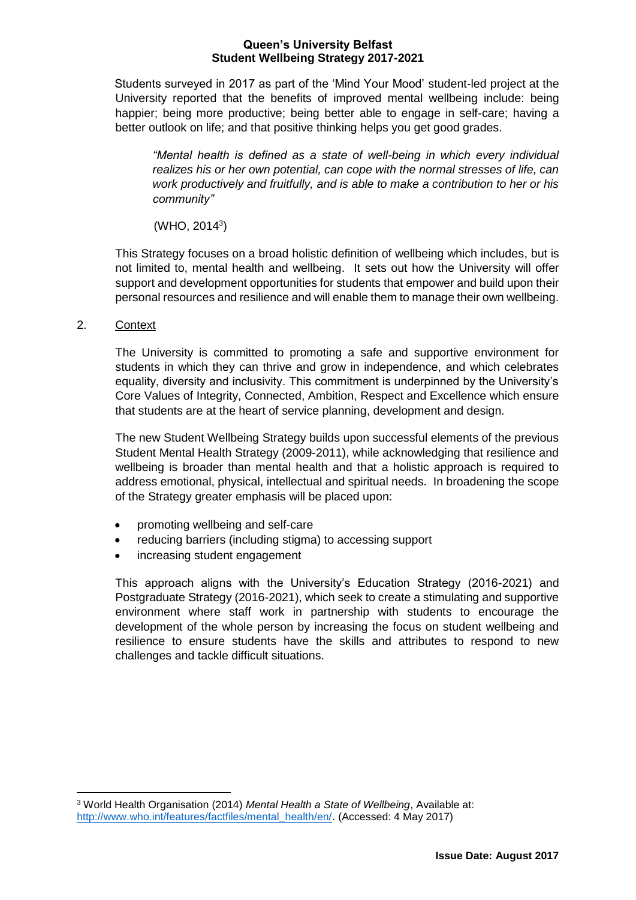Students surveyed in 2017 as part of the 'Mind Your Mood' student-led project at the University reported that the benefits of improved mental wellbeing include: being happier; being more productive; being better able to engage in self-care; having a better outlook on life; and that positive thinking helps you get good grades.

*"Mental health is defined as a state of well-being in which every individual realizes his or her own potential, can cope with the normal stresses of life, can work productively and fruitfully, and is able to make a contribution to her or his community"*

 $(WHO, 2014<sup>3</sup>)$ 

This Strategy focuses on a broad holistic definition of wellbeing which includes, but is not limited to, mental health and wellbeing. It sets out how the University will offer support and development opportunities for students that empower and build upon their personal resources and resilience and will enable them to manage their own wellbeing.

2. Context

The University is committed to promoting a safe and supportive environment for students in which they can thrive and grow in independence, and which celebrates equality, diversity and inclusivity. This commitment is underpinned by the University's Core Values of Integrity, Connected, Ambition, Respect and Excellence which ensure that students are at the heart of service planning, development and design.

The new Student Wellbeing Strategy builds upon successful elements of the previous Student Mental Health Strategy (2009-2011), while acknowledging that resilience and wellbeing is broader than mental health and that a holistic approach is required to address emotional, physical, intellectual and spiritual needs. In broadening the scope of the Strategy greater emphasis will be placed upon:

- promoting wellbeing and self-care
- reducing barriers (including stigma) to accessing support
- increasing student engagement

This approach aligns with the University's Education Strategy (2016-2021) and Postgraduate Strategy (2016-2021), which seek to create a stimulating and supportive environment where staff work in partnership with students to encourage the development of the whole person by increasing the focus on student wellbeing and resilience to ensure students have the skills and attributes to respond to new challenges and tackle difficult situations.

**<sup>.</sup>** <sup>3</sup> World Health Organisation (2014) *Mental Health a State of Wellbeing*, Available at: [http://www.who.int/features/factfiles/mental\\_health/en/.](http://www.who.int/features/factfiles/mental_health/en/) (Accessed: 4 May 2017)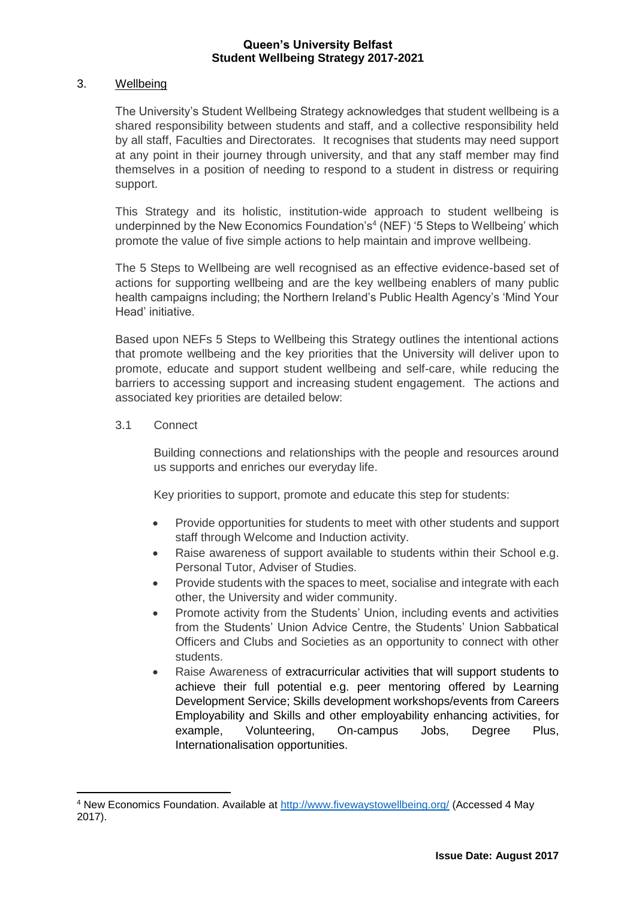# 3. Wellbeing

The University's Student Wellbeing Strategy acknowledges that student wellbeing is a shared responsibility between students and staff, and a collective responsibility held by all staff, Faculties and Directorates. It recognises that students may need support at any point in their journey through university, and that any staff member may find themselves in a position of needing to respond to a student in distress or requiring support.

This Strategy and its holistic, institution-wide approach to student wellbeing is underpinned by the New Economics Foundation's<sup>4</sup> (NEF) '5 Steps to Wellbeing' which promote the value of five simple actions to help maintain and improve wellbeing.

The 5 Steps to Wellbeing are well recognised as an effective evidence-based set of actions for supporting wellbeing and are the key wellbeing enablers of many public health campaigns including; the Northern Ireland's Public Health Agency's 'Mind Your Head' initiative.

Based upon NEFs 5 Steps to Wellbeing this Strategy outlines the intentional actions that promote wellbeing and the key priorities that the University will deliver upon to promote, educate and support student wellbeing and self-care, while reducing the barriers to accessing support and increasing student engagement. The actions and associated key priorities are detailed below:

# 3.1 Connect

**.** 

Building connections and relationships with the people and resources around us supports and enriches our everyday life.

Key priorities to support, promote and educate this step for students:

- Provide opportunities for students to meet with other students and support staff through Welcome and Induction activity.
- Raise awareness of support available to students within their School e.g. Personal Tutor, Adviser of Studies.
- Provide students with the spaces to meet, socialise and integrate with each other, the University and wider community.
- Promote activity from the Students' Union, including events and activities from the Students' Union Advice Centre, the Students' Union Sabbatical Officers and Clubs and Societies as an opportunity to connect with other students.
- Raise Awareness of extracurricular activities that will support students to achieve their full potential e.g. peer mentoring offered by Learning Development Service; Skills development workshops/events from Careers Employability and Skills and other employability enhancing activities, for example, Volunteering, On-campus Jobs, Degree Plus, Internationalisation opportunities.

<sup>4</sup> New Economics Foundation. Available at<http://www.fivewaystowellbeing.org/> (Accessed 4 May 2017).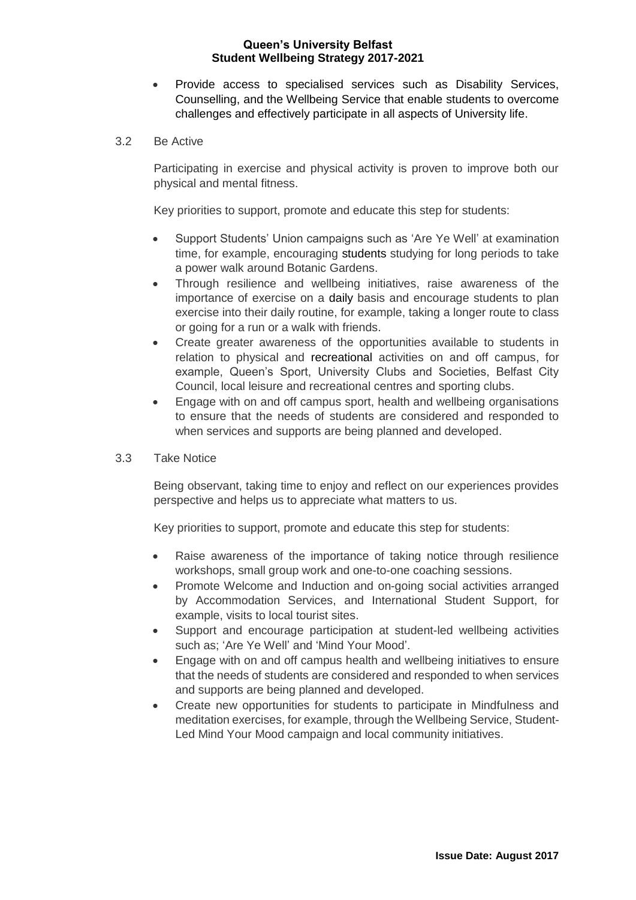- Provide access to specialised services such as Disability Services, Counselling, and the Wellbeing Service that enable students to overcome challenges and effectively participate in all aspects of University life.
- 3.2 Be Active

Participating in exercise and physical activity is proven to improve both our physical and mental fitness.

Key priorities to support, promote and educate this step for students:

- Support Students' Union campaigns such as 'Are Ye Well' at examination time, for example, encouraging students studying for long periods to take a power walk around Botanic Gardens.
- Through resilience and wellbeing initiatives, raise awareness of the importance of exercise on a daily basis and encourage students to plan exercise into their daily routine, for example, taking a longer route to class or going for a run or a walk with friends.
- Create greater awareness of the opportunities available to students in relation to physical and recreational activities on and off campus, for example, Queen's Sport, University Clubs and Societies, Belfast City Council, local leisure and recreational centres and sporting clubs.
- Engage with on and off campus sport, health and wellbeing organisations to ensure that the needs of students are considered and responded to when services and supports are being planned and developed.
- 3.3 Take Notice

Being observant, taking time to enjoy and reflect on our experiences provides perspective and helps us to appreciate what matters to us.

Key priorities to support, promote and educate this step for students:

- Raise awareness of the importance of taking notice through resilience workshops, small group work and one-to-one coaching sessions.
- Promote Welcome and Induction and on-going social activities arranged by Accommodation Services, and International Student Support, for example, visits to local tourist sites.
- Support and encourage participation at student-led wellbeing activities such as; 'Are Ye Well' and 'Mind Your Mood'.
- Engage with on and off campus health and wellbeing initiatives to ensure that the needs of students are considered and responded to when services and supports are being planned and developed.
- Create new opportunities for students to participate in Mindfulness and meditation exercises, for example, through the Wellbeing Service, Student-Led Mind Your Mood campaign and local community initiatives.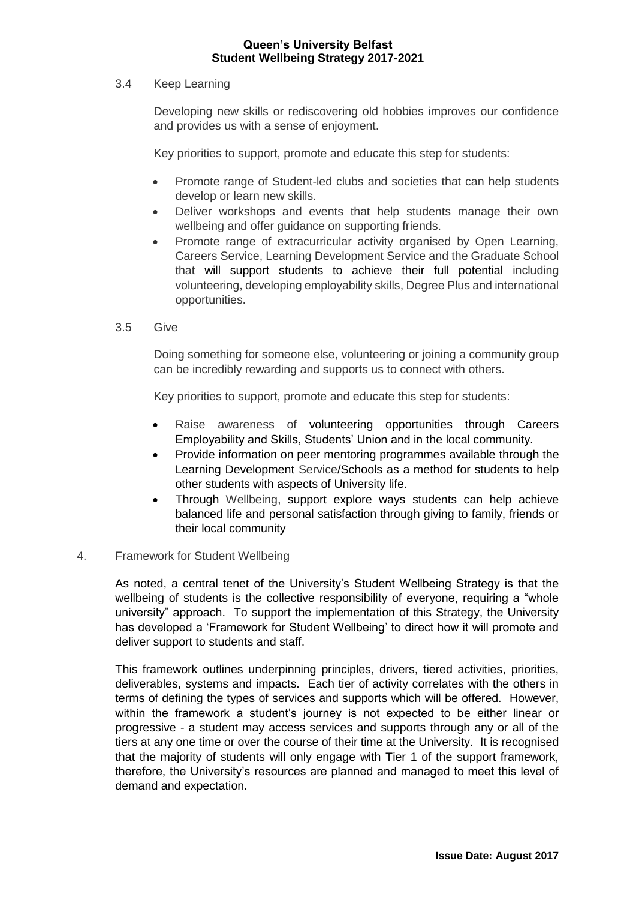# 3.4 Keep Learning

Developing new skills or rediscovering old hobbies improves our confidence and provides us with a sense of enjoyment.

Key priorities to support, promote and educate this step for students:

- Promote range of Student-led clubs and societies that can help students develop or learn new skills.
- Deliver workshops and events that help students manage their own wellbeing and offer guidance on supporting friends.
- Promote range of extracurricular activity organised by Open Learning, Careers Service, Learning Development Service and the Graduate School that will support students to achieve their full potential including volunteering, developing employability skills, Degree Plus and international opportunities.
- 3.5 Give

Doing something for someone else, volunteering or joining a community group can be incredibly rewarding and supports us to connect with others.

Key priorities to support, promote and educate this step for students:

- Raise awareness of volunteering opportunities through Careers Employability and Skills, Students' Union and in the local community.
- Provide information on peer mentoring programmes available through the Learning Development Service/Schools as a method for students to help other students with aspects of University life.
- Through Wellbeing, support explore ways students can help achieve balanced life and personal satisfaction through giving to family, friends or their local community

# 4. Framework for Student Wellbeing

As noted, a central tenet of the University's Student Wellbeing Strategy is that the wellbeing of students is the collective responsibility of everyone, requiring a "whole university" approach. To support the implementation of this Strategy, the University has developed a 'Framework for Student Wellbeing' to direct how it will promote and deliver support to students and staff.

This framework outlines underpinning principles, drivers, tiered activities, priorities, deliverables, systems and impacts. Each tier of activity correlates with the others in terms of defining the types of services and supports which will be offered. However, within the framework a student's journey is not expected to be either linear or progressive - a student may access services and supports through any or all of the tiers at any one time or over the course of their time at the University. It is recognised that the majority of students will only engage with Tier 1 of the support framework, therefore, the University's resources are planned and managed to meet this level of demand and expectation.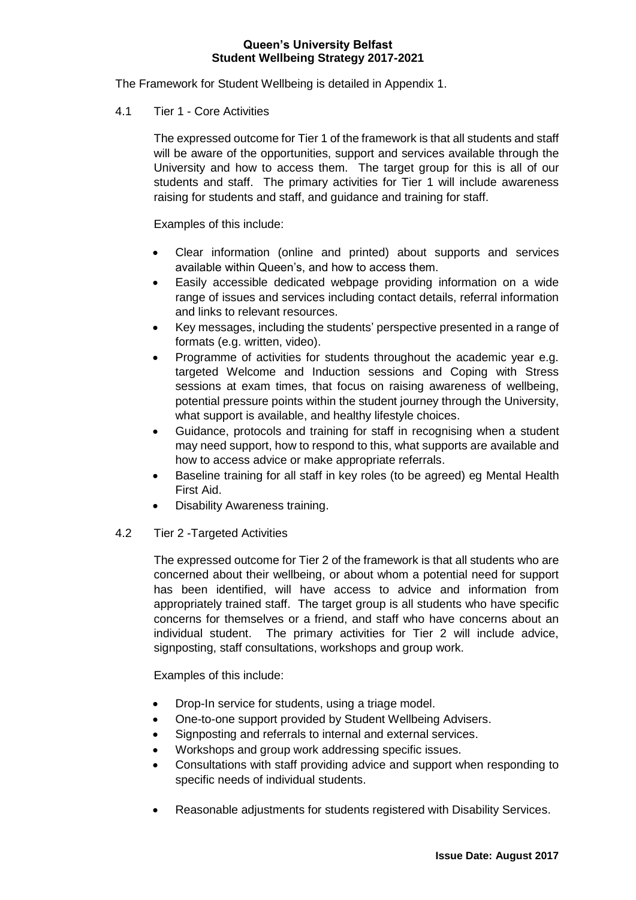The Framework for Student Wellbeing is detailed in Appendix 1.

4.1 Tier 1 - Core Activities

The expressed outcome for Tier 1 of the framework is that all students and staff will be aware of the opportunities, support and services available through the University and how to access them. The target group for this is all of our students and staff. The primary activities for Tier 1 will include awareness raising for students and staff, and guidance and training for staff.

Examples of this include:

- Clear information (online and printed) about supports and services available within Queen's, and how to access them.
- Easily accessible dedicated webpage providing information on a wide range of issues and services including contact details, referral information and links to relevant resources.
- Key messages, including the students' perspective presented in a range of formats (e.g. written, video).
- Programme of activities for students throughout the academic year e.g. targeted Welcome and Induction sessions and Coping with Stress sessions at exam times, that focus on raising awareness of wellbeing, potential pressure points within the student journey through the University, what support is available, and healthy lifestyle choices.
- Guidance, protocols and training for staff in recognising when a student may need support, how to respond to this, what supports are available and how to access advice or make appropriate referrals.
- Baseline training for all staff in key roles (to be agreed) eg Mental Health First Aid.
- Disability Awareness training.
- 4.2 Tier 2 -Targeted Activities

The expressed outcome for Tier 2 of the framework is that all students who are concerned about their wellbeing, or about whom a potential need for support has been identified, will have access to advice and information from appropriately trained staff. The target group is all students who have specific concerns for themselves or a friend, and staff who have concerns about an individual student. The primary activities for Tier 2 will include advice, signposting, staff consultations, workshops and group work.

Examples of this include:

- Drop-In service for students, using a triage model.
- One-to-one support provided by Student Wellbeing Advisers.
- Signposting and referrals to internal and external services.
- Workshops and group work addressing specific issues.
- Consultations with staff providing advice and support when responding to specific needs of individual students.
- Reasonable adjustments for students registered with Disability Services.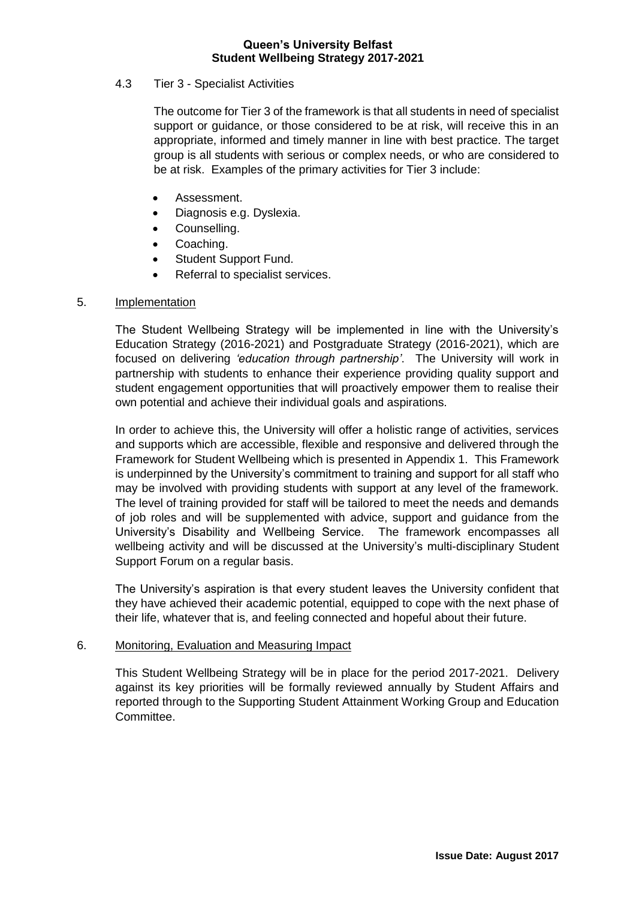# 4.3 Tier 3 - Specialist Activities

The outcome for Tier 3 of the framework is that all students in need of specialist support or guidance, or those considered to be at risk, will receive this in an appropriate, informed and timely manner in line with best practice. The target group is all students with serious or complex needs, or who are considered to be at risk. Examples of the primary activities for Tier 3 include:

- Assessment.
- Diagnosis e.g. Dyslexia.
- Counselling.
- Coaching.
- Student Support Fund.
- Referral to specialist services.

## 5. Implementation

The Student Wellbeing Strategy will be implemented in line with the University's Education Strategy (2016-2021) and Postgraduate Strategy (2016-2021), which are focused on delivering *'education through partnership'*. The University will work in partnership with students to enhance their experience providing quality support and student engagement opportunities that will proactively empower them to realise their own potential and achieve their individual goals and aspirations.

In order to achieve this, the University will offer a holistic range of activities, services and supports which are accessible, flexible and responsive and delivered through the Framework for Student Wellbeing which is presented in Appendix 1. This Framework is underpinned by the University's commitment to training and support for all staff who may be involved with providing students with support at any level of the framework. The level of training provided for staff will be tailored to meet the needs and demands of job roles and will be supplemented with advice, support and guidance from the University's Disability and Wellbeing Service. The framework encompasses all wellbeing activity and will be discussed at the University's multi-disciplinary Student Support Forum on a regular basis.

The University's aspiration is that every student leaves the University confident that they have achieved their academic potential, equipped to cope with the next phase of their life, whatever that is, and feeling connected and hopeful about their future.

## 6. Monitoring, Evaluation and Measuring Impact

This Student Wellbeing Strategy will be in place for the period 2017-2021. Delivery against its key priorities will be formally reviewed annually by Student Affairs and reported through to the Supporting Student Attainment Working Group and Education Committee.